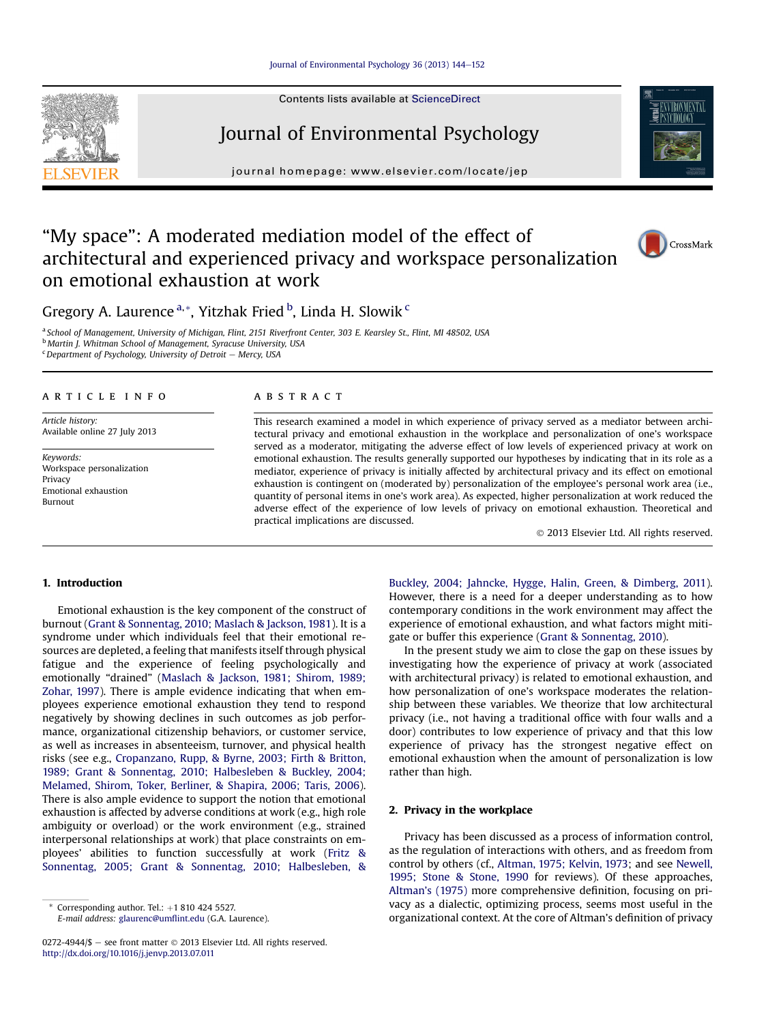#### [Journal of Environmental Psychology 36 \(2013\) 144](http://dx.doi.org/10.1016/j.jenvp.2013.07.011)-[152](http://dx.doi.org/10.1016/j.jenvp.2013.07.011)

Contents lists available at ScienceDirect





journal homepage: [www.elsevier.com/locate/jep](http://www.elsevier.com/locate/jep)



# "My space": A moderated mediation model of the effect of architectural and experienced privacy and workspace personalization on emotional exhaustion at work



Gregory A. Laurence <sup>a, \*</sup>, Yitzhak Fried <sup>b</sup>, Linda H. Slowik <sup>c</sup>

<sup>a</sup> School of Management, University of Michigan, Flint, 2151 Riverfront Center, 303 E. Kearsley St., Flint, MI 48502, USA <sup>b</sup> Martin J. Whitman School of Management, Syracuse University, USA  $c$ Department of Psychology, University of Detroit - Mercy, USA

## article info

Article history: Available online 27 July 2013

Keywords: Workspace personalization Privacy Emotional exhaustion Burnout

### **ABSTRACT**

This research examined a model in which experience of privacy served as a mediator between architectural privacy and emotional exhaustion in the workplace and personalization of one's workspace served as a moderator, mitigating the adverse effect of low levels of experienced privacy at work on emotional exhaustion. The results generally supported our hypotheses by indicating that in its role as a mediator, experience of privacy is initially affected by architectural privacy and its effect on emotional exhaustion is contingent on (moderated by) personalization of the employee's personal work area (i.e., quantity of personal items in one's work area). As expected, higher personalization at work reduced the adverse effect of the experience of low levels of privacy on emotional exhaustion. Theoretical and practical implications are discussed.

2013 Elsevier Ltd. All rights reserved.

# 1. Introduction

Emotional exhaustion is the key component of the construct of burnout (Grant & Sonnentag, 2010; Maslach & Jackson, 1981). It is a syndrome under which individuals feel that their emotional resources are depleted, a feeling that manifests itself through physical fatigue and the experience of feeling psychologically and emotionally "drained" (Maslach & Jackson, 1981; Shirom, 1989; Zohar, 1997). There is ample evidence indicating that when employees experience emotional exhaustion they tend to respond negatively by showing declines in such outcomes as job performance, organizational citizenship behaviors, or customer service, as well as increases in absenteeism, turnover, and physical health risks (see e.g., Cropanzano, Rupp, & Byrne, 2003; Firth & Britton, 1989; Grant & Sonnentag, 2010; Halbesleben & Buckley, 2004; Melamed, Shirom, Toker, Berliner, & Shapira, 2006; Taris, 2006). There is also ample evidence to support the notion that emotional exhaustion is affected by adverse conditions at work (e.g., high role ambiguity or overload) or the work environment (e.g., strained interpersonal relationships at work) that place constraints on employees' abilities to function successfully at work (Fritz & Sonnentag, 2005; Grant & Sonnentag, 2010; Halbesleben, & Buckley, 2004; Jahncke, Hygge, Halin, Green, & Dimberg, 2011). However, there is a need for a deeper understanding as to how contemporary conditions in the work environment may affect the experience of emotional exhaustion, and what factors might mitigate or buffer this experience (Grant & Sonnentag, 2010).

In the present study we aim to close the gap on these issues by investigating how the experience of privacy at work (associated with architectural privacy) is related to emotional exhaustion, and how personalization of one's workspace moderates the relationship between these variables. We theorize that low architectural privacy (i.e., not having a traditional office with four walls and a door) contributes to low experience of privacy and that this low experience of privacy has the strongest negative effect on emotional exhaustion when the amount of personalization is low rather than high.

# 2. Privacy in the workplace

Privacy has been discussed as a process of information control, as the regulation of interactions with others, and as freedom from control by others (cf., Altman, 1975; Kelvin, 1973; and see Newell, 1995; Stone & Stone, 1990 for reviews). Of these approaches, Altman's (1975) more comprehensive definition, focusing on privacy as a dialectic, optimizing process, seems most useful in the organizational context. At the core of Altman's definition of privacy

Corresponding author. Tel.:  $+18104245527$ . E-mail address: [glaurenc@um](mailto:glaurenc@umflint.edu)flint.edu (G.A. Laurence).

<sup>0272-4944/\$ -</sup> see front matter  $\odot$  2013 Elsevier Ltd. All rights reserved. <http://dx.doi.org/10.1016/j.jenvp.2013.07.011>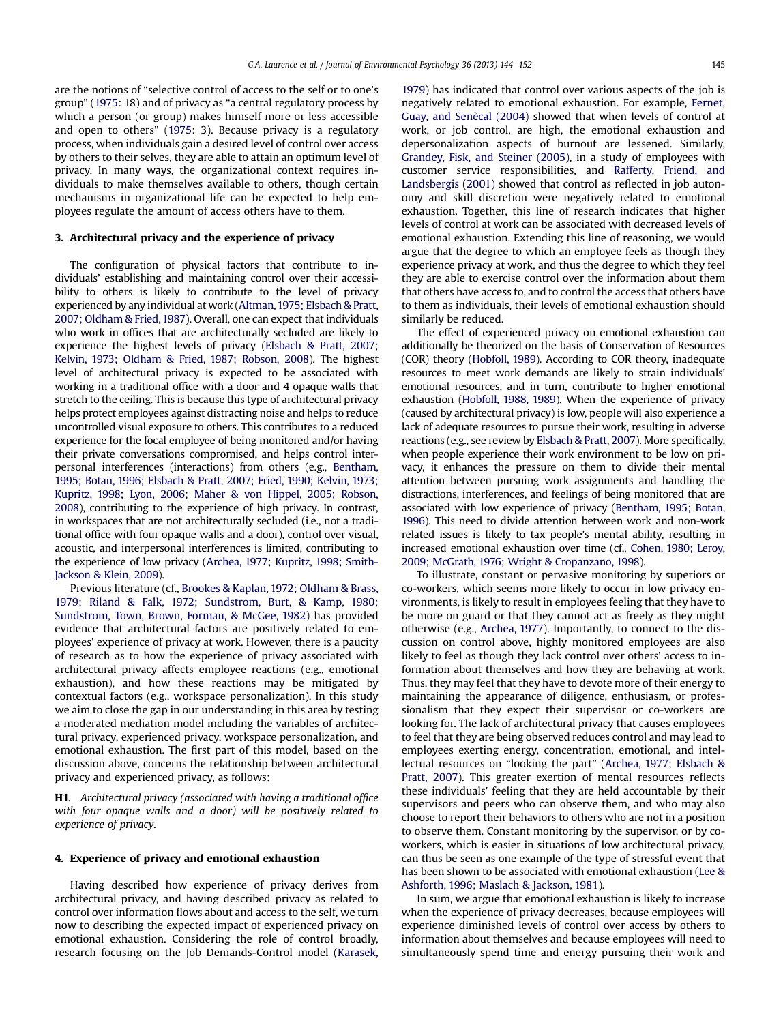are the notions of "selective control of access to the self or to one's group" (1975: 18) and of privacy as "a central regulatory process by which a person (or group) makes himself more or less accessible and open to others" (1975: 3). Because privacy is a regulatory process, when individuals gain a desired level of control over access by others to their selves, they are able to attain an optimum level of privacy. In many ways, the organizational context requires individuals to make themselves available to others, though certain mechanisms in organizational life can be expected to help employees regulate the amount of access others have to them.

### 3. Architectural privacy and the experience of privacy

The configuration of physical factors that contribute to individuals' establishing and maintaining control over their accessibility to others is likely to contribute to the level of privacy experienced by any individual at work (Altman,1975; Elsbach & Pratt, 2007; Oldham & Fried, 1987). Overall, one can expect that individuals who work in offices that are architecturally secluded are likely to experience the highest levels of privacy (Elsbach & Pratt, 2007; Kelvin, 1973; Oldham & Fried, 1987; Robson, 2008). The highest level of architectural privacy is expected to be associated with working in a traditional office with a door and 4 opaque walls that stretch to the ceiling. This is because this type of architectural privacy helps protect employees against distracting noise and helps to reduce uncontrolled visual exposure to others. This contributes to a reduced experience for the focal employee of being monitored and/or having their private conversations compromised, and helps control interpersonal interferences (interactions) from others (e.g., Bentham, 1995; Botan, 1996; Elsbach & Pratt, 2007; Fried, 1990; Kelvin, 1973; Kupritz, 1998; Lyon, 2006; Maher & von Hippel, 2005; Robson, 2008), contributing to the experience of high privacy. In contrast, in workspaces that are not architecturally secluded (i.e., not a traditional office with four opaque walls and a door), control over visual, acoustic, and interpersonal interferences is limited, contributing to the experience of low privacy (Archea, 1977; Kupritz, 1998; Smith-Jackson & Klein, 2009).

Previous literature (cf., Brookes & Kaplan, 1972; Oldham & Brass, 1979; Riland & Falk, 1972; Sundstrom, Burt, & Kamp, 1980; Sundstrom, Town, Brown, Forman, & McGee, 1982) has provided evidence that architectural factors are positively related to employees' experience of privacy at work. However, there is a paucity of research as to how the experience of privacy associated with architectural privacy affects employee reactions (e.g., emotional exhaustion), and how these reactions may be mitigated by contextual factors (e.g., workspace personalization). In this study we aim to close the gap in our understanding in this area by testing a moderated mediation model including the variables of architectural privacy, experienced privacy, workspace personalization, and emotional exhaustion. The first part of this model, based on the discussion above, concerns the relationship between architectural privacy and experienced privacy, as follows:

H1. Architectural privacy (associated with having a traditional office with four opaque walls and a door) will be positively related to experience of privacy.

#### 4. Experience of privacy and emotional exhaustion

Having described how experience of privacy derives from architectural privacy, and having described privacy as related to control over information flows about and access to the self, we turn now to describing the expected impact of experienced privacy on emotional exhaustion. Considering the role of control broadly, research focusing on the Job Demands-Control model (Karasek, 1979) has indicated that control over various aspects of the job is negatively related to emotional exhaustion. For example, Fernet, Guay, and Senècal (2004) showed that when levels of control at work, or job control, are high, the emotional exhaustion and depersonalization aspects of burnout are lessened. Similarly, Grandey, Fisk, and Steiner (2005), in a study of employees with customer service responsibilities, and Rafferty, Friend, and Landsbergis (2001) showed that control as reflected in job autonomy and skill discretion were negatively related to emotional exhaustion. Together, this line of research indicates that higher levels of control at work can be associated with decreased levels of emotional exhaustion. Extending this line of reasoning, we would argue that the degree to which an employee feels as though they experience privacy at work, and thus the degree to which they feel they are able to exercise control over the information about them that others have access to, and to control the access that others have to them as individuals, their levels of emotional exhaustion should similarly be reduced.

The effect of experienced privacy on emotional exhaustion can additionally be theorized on the basis of Conservation of Resources (COR) theory (Hobfoll, 1989). According to COR theory, inadequate resources to meet work demands are likely to strain individuals' emotional resources, and in turn, contribute to higher emotional exhaustion (Hobfoll, 1988, 1989). When the experience of privacy (caused by architectural privacy) is low, people will also experience a lack of adequate resources to pursue their work, resulting in adverse reactions (e.g., see review by Elsbach & Pratt, 2007). More specifically, when people experience their work environment to be low on privacy, it enhances the pressure on them to divide their mental attention between pursuing work assignments and handling the distractions, interferences, and feelings of being monitored that are associated with low experience of privacy (Bentham, 1995; Botan, 1996). This need to divide attention between work and non-work related issues is likely to tax people's mental ability, resulting in increased emotional exhaustion over time (cf., Cohen, 1980; Leroy, 2009; McGrath, 1976; Wright & Cropanzano, 1998).

To illustrate, constant or pervasive monitoring by superiors or co-workers, which seems more likely to occur in low privacy environments, is likely to result in employees feeling that they have to be more on guard or that they cannot act as freely as they might otherwise (e.g., Archea, 1977). Importantly, to connect to the discussion on control above, highly monitored employees are also likely to feel as though they lack control over others' access to information about themselves and how they are behaving at work. Thus, they may feel that they have to devote more of their energy to maintaining the appearance of diligence, enthusiasm, or professionalism that they expect their supervisor or co-workers are looking for. The lack of architectural privacy that causes employees to feel that they are being observed reduces control and may lead to employees exerting energy, concentration, emotional, and intellectual resources on "looking the part" (Archea, 1977; Elsbach & Pratt, 2007). This greater exertion of mental resources reflects these individuals' feeling that they are held accountable by their supervisors and peers who can observe them, and who may also choose to report their behaviors to others who are not in a position to observe them. Constant monitoring by the supervisor, or by coworkers, which is easier in situations of low architectural privacy, can thus be seen as one example of the type of stressful event that has been shown to be associated with emotional exhaustion (Lee & Ashforth, 1996; Maslach & Jackson, 1981).

In sum, we argue that emotional exhaustion is likely to increase when the experience of privacy decreases, because employees will experience diminished levels of control over access by others to information about themselves and because employees will need to simultaneously spend time and energy pursuing their work and